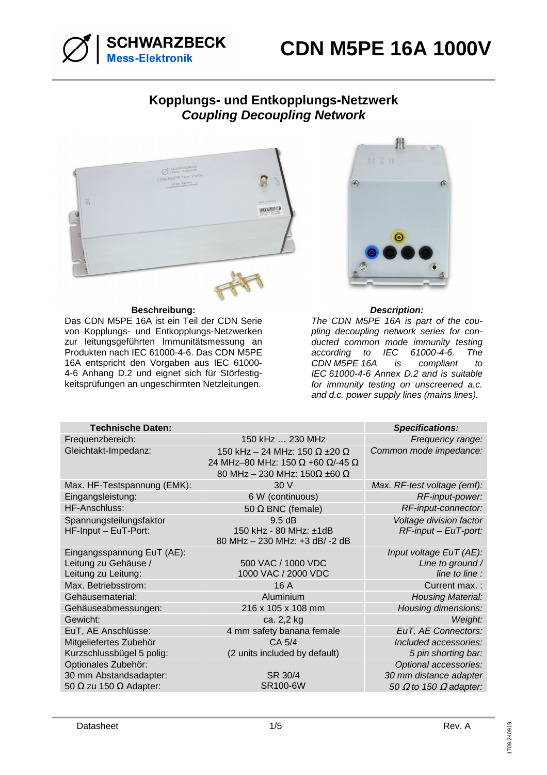

## **Kopplungs- und Entkopplungs-Netzwerk Coupling Decoupling Network**



#### **Beschreibung: Description:**

Das CDN M5PE 16A ist ein Teil der CDN Serie von Kopplungs- und Entkopplungs-Netzwerken zur leitungsgeführten Immunitätsmessung an Produkten nach IEC 61000-4-6. Das CDN M5PE 16A entspricht den Vorgaben aus IEC 61000- 4-6 Anhang D.2 und eignet sich für Störfestigkeitsprüfungen an ungeschirmten Netzleitungen.



The CDN M5PE 16A is part of the coupling decoupling network series for conducted common mode immunity testing according to IEC 61000-4-6. The<br>CDN\_M5PE\_16A is compliant to CDN M5PE 16A is compliant to IEC 61000-4-6 Annex D.2 and is suitable for immunity testing on unscreened a.c. and d.c. power supply lines (mains lines).

| <b>Technische Daten:</b>                                                              |                                                                                                                                                      | <b>Specifications:</b>                                                                  |
|---------------------------------------------------------------------------------------|------------------------------------------------------------------------------------------------------------------------------------------------------|-----------------------------------------------------------------------------------------|
| Frequenzbereich:                                                                      | 150 kHz  230 MHz                                                                                                                                     | Frequency range:                                                                        |
| Gleichtakt-Impedanz:                                                                  | 150 kHz - 24 MHz: 150 $\Omega$ ±20 $\Omega$<br>24 MHz-80 MHz: 150 $\Omega$ +60 $\Omega$ /-45 $\Omega$<br>80 MHz - 230 MHz: 150 $\Omega$ ±60 $\Omega$ | Common mode impedance:                                                                  |
| Max. HF-Testspannung (EMK):                                                           | 30 V                                                                                                                                                 | Max. RF-test voltage (emf):                                                             |
| Eingangsleistung:                                                                     | 6 W (continuous)                                                                                                                                     | RF-input-power:                                                                         |
| HF-Anschluss:                                                                         | 50 $\Omega$ BNC (female)                                                                                                                             | RF-input-connector:                                                                     |
| Spannungsteilungsfaktor<br>HF-Input - EuT-Port:                                       | 9.5 dB<br>150 kHz - 80 MHz: ±1dB<br>80 MHz - 230 MHz: +3 dB/ -2 dB                                                                                   | Voltage division factor<br>$RF$ -input – EuT-port:                                      |
| Eingangsspannung EuT (AE):<br>Leitung zu Gehäuse /<br>Leitung zu Leitung:             | 500 VAC / 1000 VDC<br>1000 VAC / 2000 VDC                                                                                                            | Input voltage EuT (AE):<br>Line to ground /<br>line to line :                           |
| Max. Betriebsstrom:                                                                   | 16 A                                                                                                                                                 | Current max.:                                                                           |
| Gehäusematerial:                                                                      | Aluminium                                                                                                                                            | <b>Housing Material:</b>                                                                |
| Gehäuseabmessungen:                                                                   | 216 x 105 x 108 mm                                                                                                                                   | Housing dimensions:                                                                     |
| Gewicht:                                                                              | ca. 2,2 kg                                                                                                                                           | Weight:                                                                                 |
| EuT, AE Anschlüsse:                                                                   | 4 mm safety banana female                                                                                                                            | EuT, AE Connectors:                                                                     |
| Mitgeliefertes Zubehör<br>Kurzschlussbügel 5 polig:                                   | CA 5/4<br>(2 units included by default)                                                                                                              | Included accessories:<br>5 pin shorting bar:                                            |
| Optionales Zubehör:<br>30 mm Abstandsadapter:<br>50 $\Omega$ zu 150 $\Omega$ Adapter: | SR 30/4<br><b>SR100-6W</b>                                                                                                                           | Optional accessories:<br>30 mm distance adapter<br>50 $\Omega$ to 150 $\Omega$ adapter: |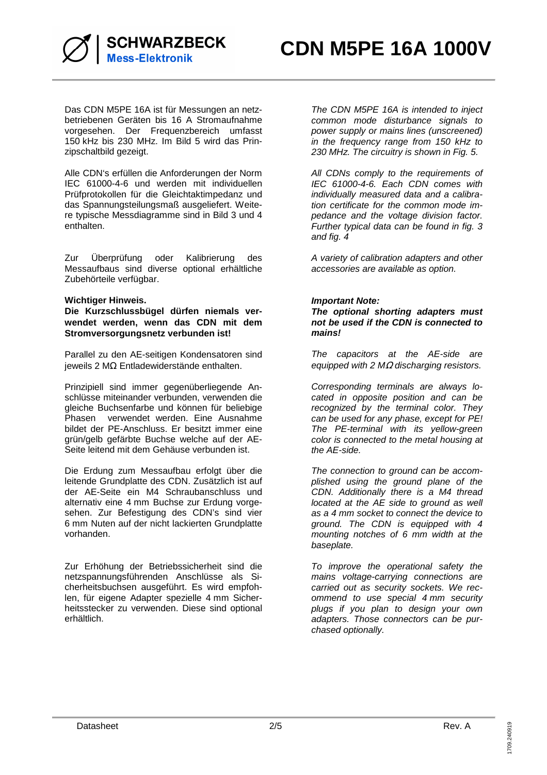

Das CDN M5PE 16A ist für Messungen an netzbetriebenen Geräten bis 16 A Stromaufnahme vorgesehen. Der Frequenzbereich umfasst 150 kHz bis 230 MHz. Im Bild 5 wird das Prinzipschaltbild gezeigt.

Alle CDN's erfüllen die Anforderungen der Norm IEC 61000-4-6 und werden mit individuellen Prüfprotokollen für die Gleichtaktimpedanz und das Spannungsteilungsmaß ausgeliefert. Weitere typische Messdiagramme sind in Bild 3 und 4 enthalten.

Zur Überprüfung oder Kalibrierung des Messaufbaus sind diverse optional erhältliche Zubehörteile verfügbar.

### **Wichtiger Hinweis.**

**Die Kurzschlussbügel dürfen niemals verwendet werden, wenn das CDN mit dem Stromversorgungsnetz verbunden ist!** 

Parallel zu den AE-seitigen Kondensatoren sind jeweils 2 MΩ Entladewiderstände enthalten.

Prinzipiell sind immer gegenüberliegende Anschlüsse miteinander verbunden, verwenden die gleiche Buchsenfarbe und können für beliebige Phasen verwendet werden. Eine Ausnahme bildet der PE-Anschluss. Er besitzt immer eine grün/gelb gefärbte Buchse welche auf der AE-Seite leitend mit dem Gehäuse verbunden ist.

Die Erdung zum Messaufbau erfolgt über die leitende Grundplatte des CDN. Zusätzlich ist auf der AE-Seite ein M4 Schraubanschluss und alternativ eine 4 mm Buchse zur Erdung vorgesehen. Zur Befestigung des CDN's sind vier 6 mm Nuten auf der nicht lackierten Grundplatte vorhanden.

Zur Erhöhung der Betriebssicherheit sind die netzspannungsführenden Anschlüsse als Sicherheitsbuchsen ausgeführt. Es wird empfohlen, für eigene Adapter spezielle 4 mm Sicherheitsstecker zu verwenden. Diese sind optional erhältlich.

The CDN M5PE 16A is intended to inject common mode disturbance signals to power supply or mains lines (unscreened) in the frequency range from 150 kHz to 230 MHz. The circuitry is shown in Fig. 5.

All CDNs comply to the requirements of IEC 61000-4-6. Each CDN comes with individually measured data and a calibration certificate for the common mode impedance and the voltage division factor. Further typical data can be found in fig. 3 and fig. 4

A variety of calibration adapters and other accessories are available as option.

### **Important Note:**

**The optional shorting adapters must not be used if the CDN is connected to mains!** 

The capacitors at the AE-side are equipped with 2 MΩ discharging resistors.

Corresponding terminals are always located in opposite position and can be recognized by the terminal color. They can be used for any phase, except for PE! The PE-terminal with its yellow-green color is connected to the metal housing at the AE-side.

The connection to ground can be accomplished using the ground plane of the CDN. Additionally there is a M4 thread located at the AE side to ground as well as a 4 mm socket to connect the device to ground. The CDN is equipped with 4 mounting notches of 6 mm width at the baseplate.

To improve the operational safety the mains voltage-carrying connections are carried out as security sockets. We recommend to use special 4 mm security plugs if you plan to design your own adapters. Those connectors can be purchased optionally.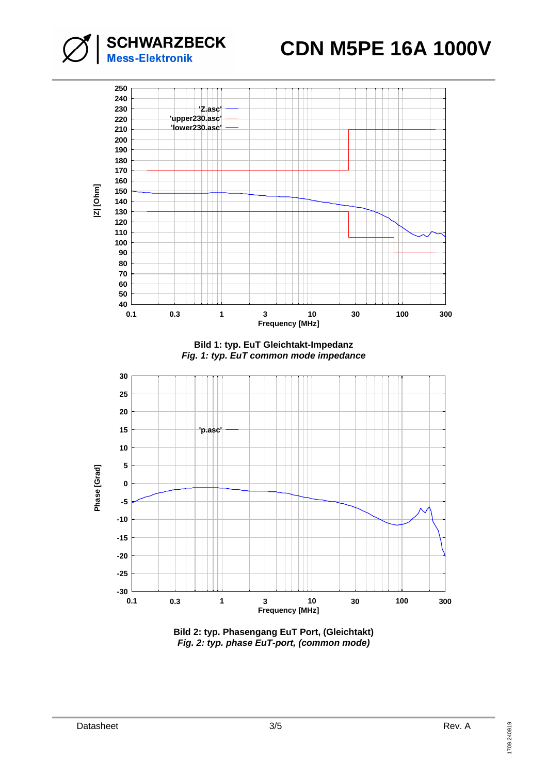

**SCHWARZBECK**<br>Mess-Elektronik

**Bild 2: typ. Phasengang EuT Port, (Gleichtakt) Fig. 2: typ. phase EuT-port, (common mode)**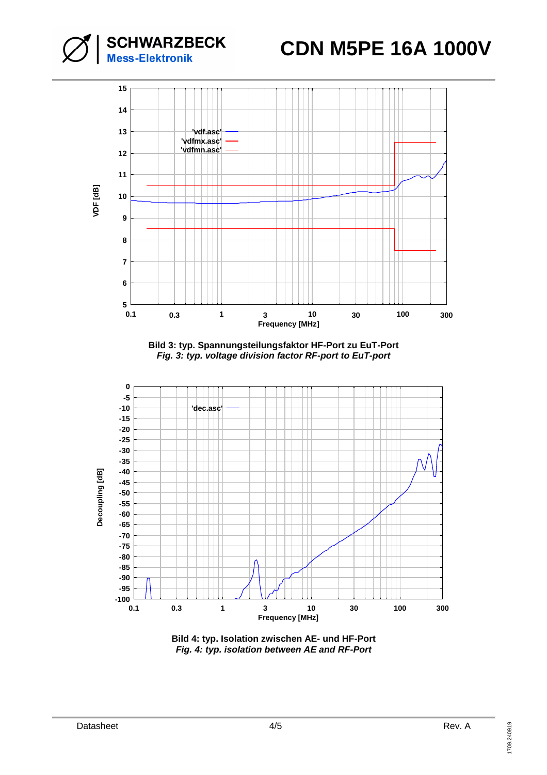# **CDN M5PE 16A 1000V**





**Bild 3: typ. Spannungsteilungsfaktor HF-Port zu EuT-Port Fig. 3: typ. voltage division factor RF-port to EuT-port** 



**Bild 4: typ. Isolation zwischen AE- und HF-Port Fig. 4: typ. isolation between AE and RF-Port**